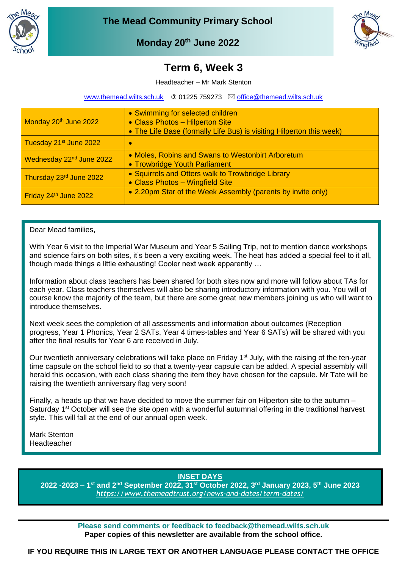



# **Monday 20th June 2022**

# **March 2022 Term 6, Week 3**

Headteacher – Mr Mark Stenton

[www.themead.wilts.sch.uk](http://www.themead.wilts.sch.uk/)  $\circledcirc$  01225 759273  $\boxtimes$  [office@themead.wilts.sch.uk](mailto:office@themead.wilts.sch.uk)

| Monday 20 <sup>th</sup> June 2022    | • Swimming for selected children<br>• Class Photos - Hilperton Site<br>• The Life Base (formally Life Bus) is visiting Hilperton this week) |
|--------------------------------------|---------------------------------------------------------------------------------------------------------------------------------------------|
| Tuesday 21 <sup>st</sup> June 2022   | ×                                                                                                                                           |
| Wednesday 22 <sup>nd</sup> June 2022 | • Moles, Robins and Swans to Westonbirt Arboretum<br>• Trowbridge Youth Parliament                                                          |
| Thursday 23rd June 2022              | • Squirrels and Otters walk to Trowbridge Library<br>• Class Photos - Wingfield Site                                                        |
| Friday 24th June 2022                | • 2.20pm Star of the Week Assembly (parents by invite only)                                                                                 |

### Dear Mead families,

With Year 6 visit to the Imperial War Museum and Year 5 Sailing Trip, not to mention dance workshops and science fairs on both sites, it's been a very exciting week. The heat has added a special feel to it all, though made things a little exhausting! Cooler next week apparently …

Information about class teachers has been shared for both sites now and more will follow about TAs for each year. Class teachers themselves will also be sharing introductory information with you. You will of course know the majority of the team, but there are some great new members joining us who will want to introduce themselves.

Next week sees the completion of all assessments and information about outcomes (Reception progress, Year 1 Phonics, Year 2 SATs, Year 4 times-tables and Year 6 SATs) will be shared with you after the final results for Year 6 are received in July.

Our twentieth anniversary celebrations will take place on Friday 1<sup>st</sup> July, with the raising of the ten-year time capsule on the school field to so that a twenty-year capsule can be added. A special assembly will herald this occasion, with each class sharing the item they have chosen for the capsule. Mr Tate will be raising the twentieth anniversary flag very soon!

Finally, a heads up that we have decided to move the summer fair on Hilperton site to the autumn – Saturday 1<sup>st</sup> October will see the site open with a wonderful autumnal offering in the traditional harvest style. This will fall at the end of our annual open week.

Mark Stenton Headteacher

**INSET DAYS**

**2022 -2023 – 1 st and 2nd September 2022, 31st October 2022, 3rd January 2023, 5th June 2023** *<https://www.themeadtrust.org/news-and-dates/term-dates/>*

> **Please send comments or feedback to feedback@themead.wilts.sch.uk Paper copies of this newsletter are available from the school office.**

**IF YOU REQUIRE THIS IN LARGE TEXT OR ANOTHER LANGUAGE PLEASE CONTACT THE OFFICE**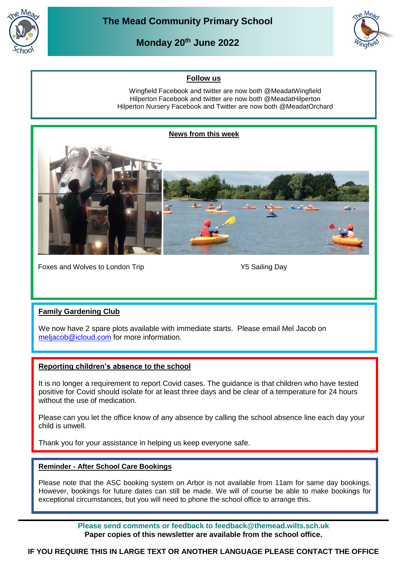

**Monday 20th June 2022**



## **Follow us**

Wingfield Facebook and twitter are now both @MeadatWingfield Hilperton Facebook and twitter are now both @MeadatHilperton Hilperton Nursery Facebook and Twitter are now both @MeadatOrchard



Foxes and Wolves to London Trip Theorem 1997 Y5 Sailing Day

# **Family Gardening Club**

We now have 2 spare plots available with immediate starts. Please email Mel Jacob on meliacob@icloud.com for more information.

## **Reporting children's absence to the school**

It is no longer a requirement to report Covid cases. The guidance is that children who have tested positive for Covid should isolate for at least three days and be clear of a temperature for 24 hours without the use of medication.

Please can you let the office know of any absence by calling the school absence line each day your child is unwell.

Thank you for your assistance in helping us keep everyone safe.

#### **Reminder - After School Care Bookings**

Please note that the ASC booking system on Arbor is not available from 11am for same day bookings. However, bookings for future dates can still be made. We will of course be able to make bookings for exceptional circumstances, but you will need to phone the school office to arrange this.

> **Please send comments or feedback to feedback@themead.wilts.sch.uk Paper copies of this newsletter are available from the school office.**

**IF YOU REQUIRE THIS IN LARGE TEXT OR ANOTHER LANGUAGE PLEASE CONTACT THE OFFICE**